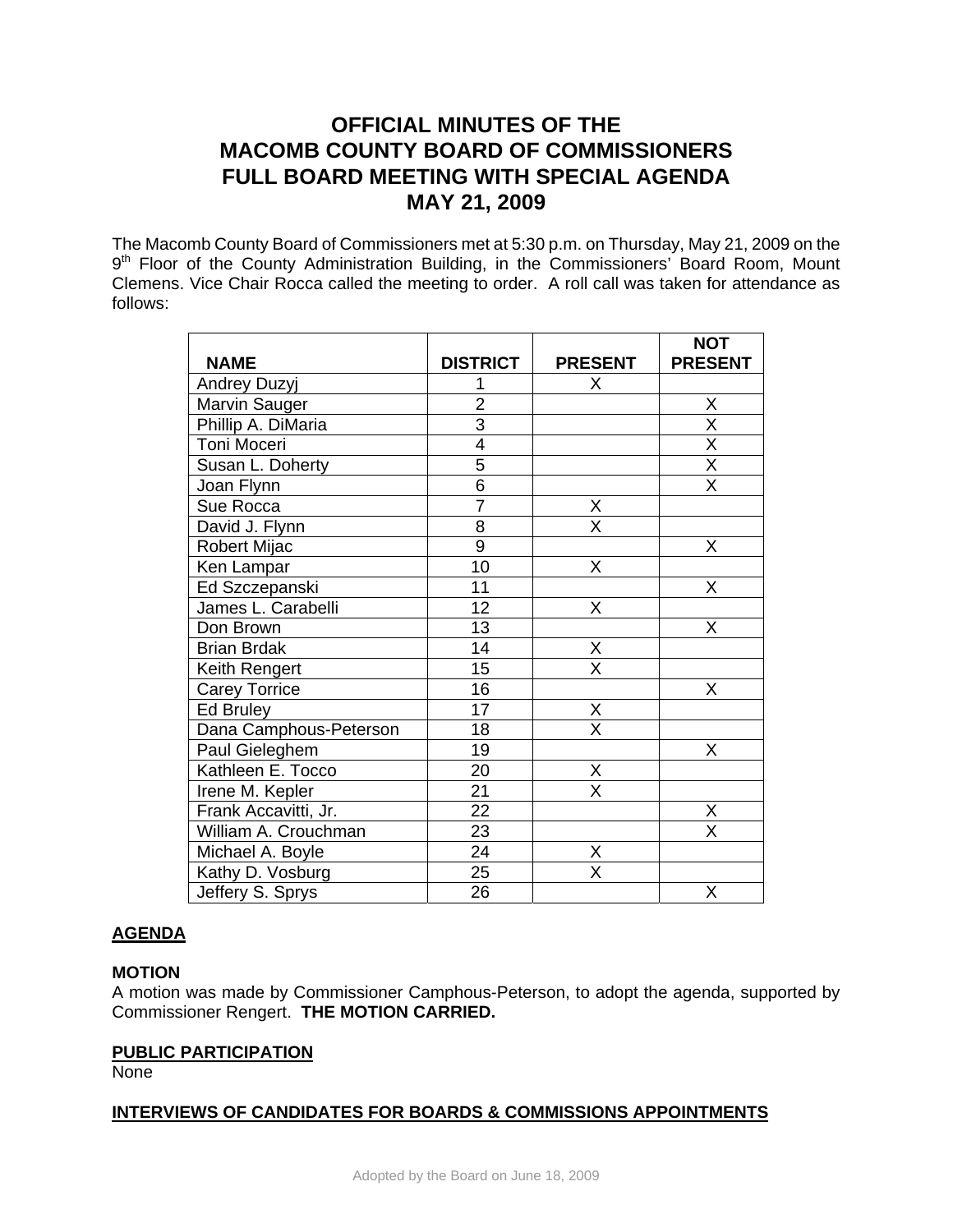# **OFFICIAL MINUTES OF THE MACOMB COUNTY BOARD OF COMMISSIONERS FULL BOARD MEETING WITH SPECIAL AGENDA MAY 21, 2009**

The Macomb County Board of Commissioners met at 5:30 p.m. on Thursday, May 21, 2009 on the 9<sup>th</sup> Floor of the County Administration Building, in the Commissioners' Board Room, Mount Clemens. Vice Chair Rocca called the meeting to order. A roll call was taken for attendance as follows:

|                        |                 |                         | <b>NOT</b>              |
|------------------------|-----------------|-------------------------|-------------------------|
| <b>NAME</b>            | <b>DISTRICT</b> | <b>PRESENT</b>          | <b>PRESENT</b>          |
| <b>Andrey Duzyj</b>    |                 | X                       |                         |
| Marvin Sauger          | $\overline{c}$  |                         | X                       |
| Phillip A. DiMaria     | $\overline{3}$  |                         | $\overline{\mathsf{x}}$ |
| Toni Moceri            | 4               |                         | $\overline{\mathsf{x}}$ |
| Susan L. Doherty       | 5               |                         | $\overline{\mathsf{x}}$ |
| Joan Flynn             | $\overline{6}$  |                         | $\overline{\mathsf{x}}$ |
| Sue Rocca              | $\overline{7}$  | X                       |                         |
| David J. Flynn         | $\overline{8}$  | $\overline{\mathsf{x}}$ |                         |
| Robert Mijac           | 9               |                         | X                       |
| Ken Lampar             | 10              | X                       |                         |
| Ed Szczepanski         | 11              |                         | X                       |
| James L. Carabelli     | 12              | X                       |                         |
| Don Brown              | 13              |                         | Χ                       |
| <b>Brian Brdak</b>     | 14              | Χ                       |                         |
| Keith Rengert          | 15              | X                       |                         |
| <b>Carey Torrice</b>   | 16              |                         | X                       |
| Ed Bruley              | 17              | Χ                       |                         |
| Dana Camphous-Peterson | 18              | $\overline{\mathsf{x}}$ |                         |
| Paul Gieleghem         | 19              |                         | Χ                       |
| Kathleen E. Tocco      | 20              | Χ                       |                         |
| Irene M. Kepler        | 21              | X                       |                         |
| Frank Accavitti, Jr.   | $\overline{22}$ |                         | Χ                       |
| William A. Crouchman   | 23              |                         | $\overline{\mathsf{x}}$ |
| Michael A. Boyle       | $\overline{24}$ | Χ                       |                         |
| Kathy D. Vosburg       | $\overline{25}$ | $\overline{\mathsf{x}}$ |                         |
| Jeffery S. Sprys       | 26              |                         | Χ                       |

# **AGENDA**

# **MOTION**

A motion was made by Commissioner Camphous-Peterson, to adopt the agenda, supported by Commissioner Rengert. **THE MOTION CARRIED.** 

# **PUBLIC PARTICIPATION**

None

# **INTERVIEWS OF CANDIDATES FOR BOARDS & COMMISSIONS APPOINTMENTS**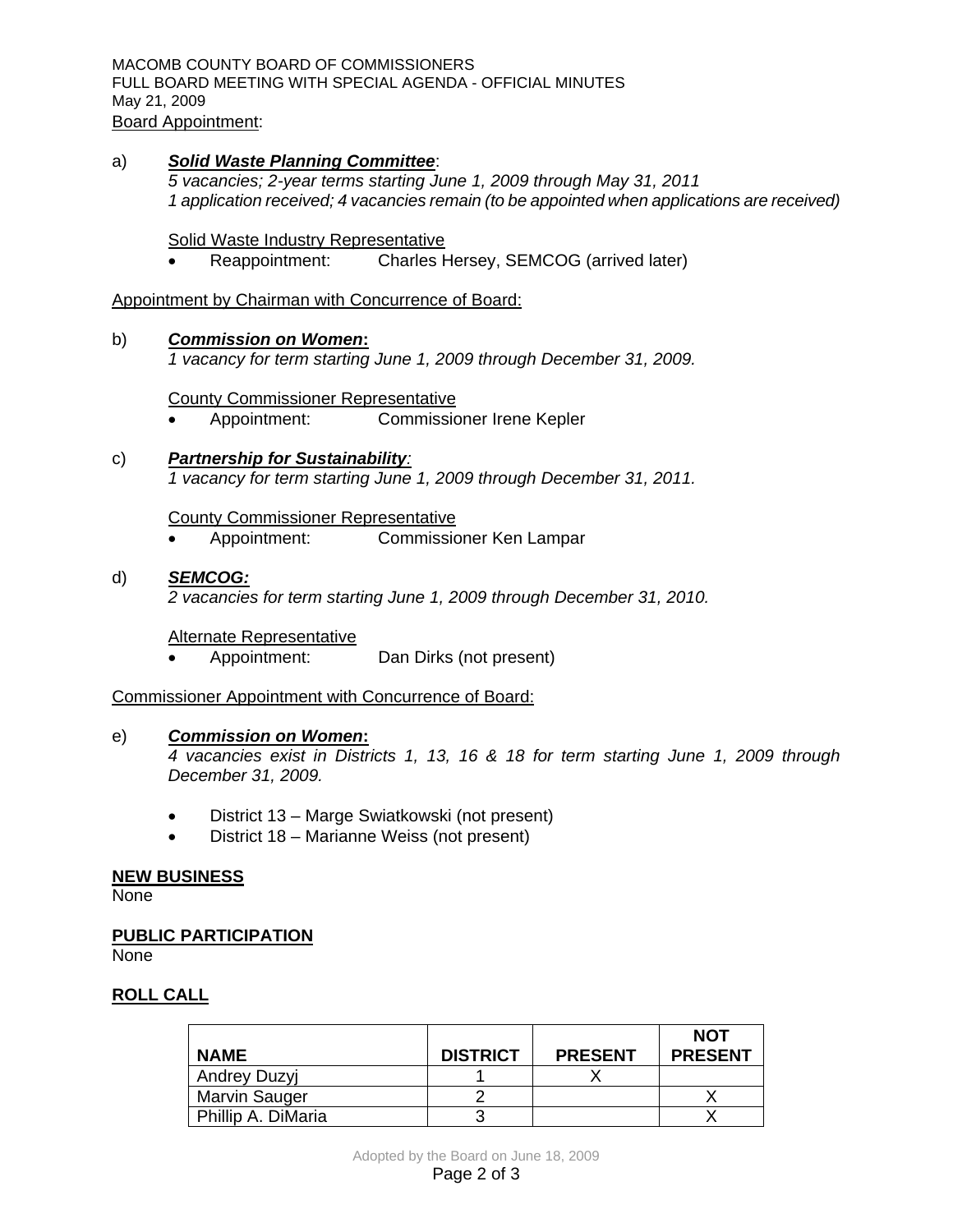MACOMB COUNTY BOARD OF COMMISSIONERS FULL BOARD MEETING WITH SPECIAL AGENDA - OFFICIAL MINUTES May 21, 2009

Board Appointment:

a)*Solid Waste Planning Committee*: *5 vacancies; 2-year terms starting June 1, 2009 through May 31, 2011 1 application received; 4 vacancies remain (to be appointed when applications are received)* 

Solid Waste Industry Representative

• Reappointment: Charles Hersey, SEMCOG (arrived later)

Appointment by Chairman with Concurrence of Board:

### b) *Commission on Women***:**

*1 vacancy for term starting June 1, 2009 through December 31, 2009.* 

County Commissioner Representative

- Appointment: Commissioner Irene Kepler
- c) *Partnership for Sustainability: 1 vacancy for term starting June 1, 2009 through December 31, 2011.*

County Commissioner Representative

• Appointment: Commissioner Ken Lampar

# d) *SEMCOG:*

*2 vacancies for term starting June 1, 2009 through December 31, 2010.* 

Alternate Representative

• Appointment: Dan Dirks (not present)

Commissioner Appointment with Concurrence of Board:

#### e) *Commission on Women***:**

*4 vacancies exist in Districts 1, 13, 16 & 18 for term starting June 1, 2009 through December 31, 2009.* 

- District 13 Marge Swiatkowski (not present)
- District 18 Marianne Weiss (not present)

# **NEW BUSINESS**

None

#### **PUBLIC PARTICIPATION**

None

# **ROLL CALL**

|                     |                 |                | <b>NOT</b>     |
|---------------------|-----------------|----------------|----------------|
| <b>NAME</b>         | <b>DISTRICT</b> | <b>PRESENT</b> | <b>PRESENT</b> |
| <b>Andrey Duzyi</b> |                 |                |                |
| Marvin Sauger       |                 |                |                |
| Phillip A. DiMaria  |                 |                |                |